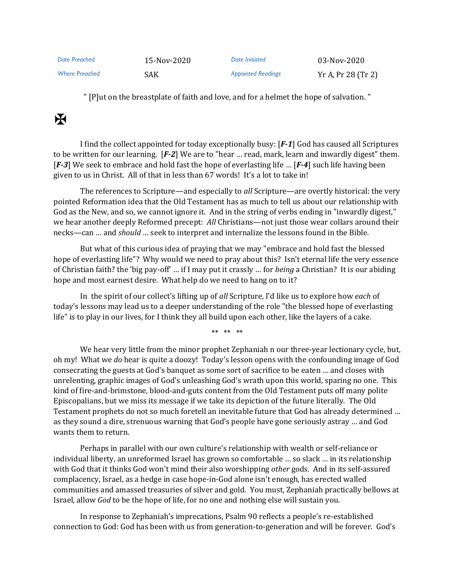| Date Preached         | 15-Nov-2020 | Date Initiated            | 03-Nov-2020        |
|-----------------------|-------------|---------------------------|--------------------|
| <b>Where Preached</b> | SAK         | <b>Appointed Readings</b> | Yr A, Pr 28 (Tr 2) |

" [P]ut on the breastplate of faith and love, and for a helmet the hope of salvation. "

## $\mathbf K$

I find the collect appointed for today exceptionally busy: [*F-1*] God has caused all Scriptures to be written for our learning. [*F-2*] We are to "hear … read, mark, learn and inwardly digest" them. [*F-3*] We seek to embrace and hold fast the hope of everlasting life … [*F-4*] such life having been given to us in Christ. All of that in less than 67 words! It's a lot to take in!

The references to Scripture—and especially to *all* Scripture—are overtly historical: the very pointed Reformation idea that the Old Testament has as much to tell us about our relationship with God as the New, and so, we cannot ignore it. And in the string of verbs ending in "inwardly digest," we hear another deeply Reformed precept: *All* Christians—not just those wear collars around their necks—can … and *should* … seek to interpret and internalize the lessons found in the Bible.

But what of this curious idea of praying that we may "embrace and hold fast the blessed hope of everlasting life"? Why would we need to pray about this? Isn't eternal life the very essence of Christian faith? the 'big pay-off' … if I may put it crassly … for *being* a Christian? It is our abiding hope and most earnest desire. What help do we need to hang on to it?

In the spirit of our collect's lifting up of *all* Scripture, I'd like us to explore how *each* of today's lessons may lead us to a deeper understanding of the role "the blessed hope of everlasting life" is to play in our lives, for I think they all build upon each other, like the layers of a cake.

\*\* \*\* \*\*

We hear very little from the minor prophet Zephaniah n our three-year lectionary cycle, but, oh my! What we *do* hear is quite a doozy! Today's lesson opens with the confounding image of God consecrating the guests at God's banquet as some sort of sacrifice to be eaten … and closes with unrelenting, graphic images of God's unleashing God's wrath upon this world, sparing no one. This kind of fire-and-brimstone, blood-and-guts content from the Old Testament puts off many polite Episcopalians, but we miss its message if we take its depiction of the future literally. The Old Testament prophets do not so much foretell an inevitable future that God has already determined … as they sound a dire, strenuous warning that God's people have gone seriously astray … and God wants them to return.

Perhaps in parallel with our own culture's relationship with wealth or self-reliance or individual liberty, an unreformed Israel has grown so comfortable … so slack … in its relationship with God that it thinks God won't mind their also worshipping *other* gods. And in its self-assured complacency, Israel, as a hedge in case hope-in-God alone isn't enough, has erected walled communities and amassed treasuries of silver and gold. You must, Zephaniah practically bellows at Israel, allow *God* to be the hope of life, for no one and nothing else will sustain you.

In response to Zephaniah's imprecations, Psalm 90 reflects a people's re-established connection to God: God has been with us from generation-to-generation and will be forever. God's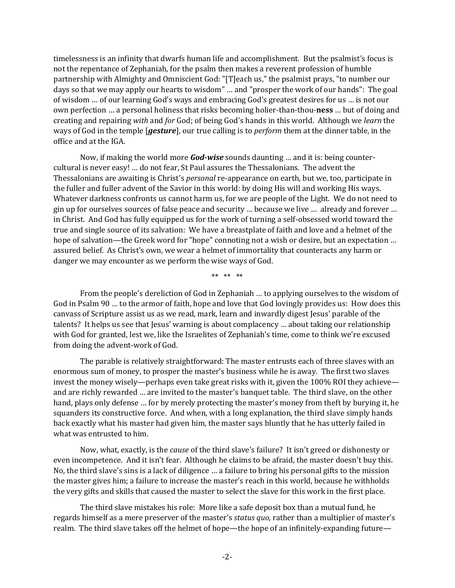timelessness is an infinity that dwarfs human life and accomplishment. But the psalmist's focus is not the repentance of Zephaniah, for the psalm then makes a reverent profession of humble partnership with Almighty and Omniscient God: "[T]each us," the psalmist prays, "to number our days so that we may apply our hearts to wisdom" … and "prosper the work of our hands": The goal of wisdom … of our learning God's ways and embracing God's greatest desires for us … is not our own perfection … a personal holiness that risks becoming holier-than-thou-**ness** … but of doing and creating and repairing *with* and *for* God; of being God's hands in this world. Although we *learn* the ways of God in the temple [*gesture*], our true calling is to *perform* them at the dinner table, in the office and at the IGA.

Now, if making the world more *God-wise* sounds daunting … and it is: being countercultural is never easy! … do not fear, St Paul assures the Thessalonians. The advent the Thessalonians are awaiting is Christ's *personal* re-appearance on earth, but we, too, participate in the fuller and fuller advent of the Savior in this world: by doing His will and working His ways. Whatever darkness confronts us cannot harm us, for we are people of the Light. We do not need to gin up for ourselves sources of false peace and security … because we live … already and forever … in Christ. And God has fully equipped us for the work of turning a self-obsessed world toward the true and single source of its salvation: We have a breastplate of faith and love and a helmet of the hope of salvation—the Greek word for "hope" connoting not a wish or desire, but an expectation ... assured belief. As Christ's own, we wear a helmet of immortality that counteracts any harm or danger we may encounter as we perform the wise ways of God.

\*\* \*\* \*\*

From the people's dereliction of God in Zephaniah … to applying ourselves to the wisdom of God in Psalm 90 … to the armor of faith, hope and love that God lovingly provides us: How does this canvass of Scripture assist us as we read, mark, learn and inwardly digest Jesus' parable of the talents? It helps us see that Jesus' warning is about complacency … about taking our relationship with God for granted, lest we, like the Israelites of Zephaniah's time, come to think we're excused from doing the advent-work of God.

The parable is relatively straightforward: The master entrusts each of three slaves with an enormous sum of money, to prosper the master's business while he is away. The first two slaves invest the money wisely—perhaps even take great risks with it, given the 100% ROI they achieve and are richly rewarded … are invited to the master's banquet table. The third slave, on the other hand, plays only defense … for by merely protecting the master's money from theft by burying it, he squanders its constructive force. And when, with a long explanation, the third slave simply hands back exactly what his master had given him, the master says bluntly that he has utterly failed in what was entrusted to him.

Now, what, exactly, is the *cause* of the third slave's failure? It isn't greed or dishonesty or even incompetence. And it isn't fear. Although he claims to be afraid, the master doesn't buy this. No, the third slave's sins is a lack of diligence … a failure to bring his personal gifts to the mission the master gives him; a failure to increase the master's reach in this world, because he withholds the very gifts and skills that caused the master to select the slave for this work in the first place.

The third slave mistakes his role: More like a safe deposit box than a mutual fund, he regards himself as a mere preserver of the master's *status quo,* rather than a multiplier of master's realm. The third slave takes off the helmet of hope—the hope of an infinitely-expanding future